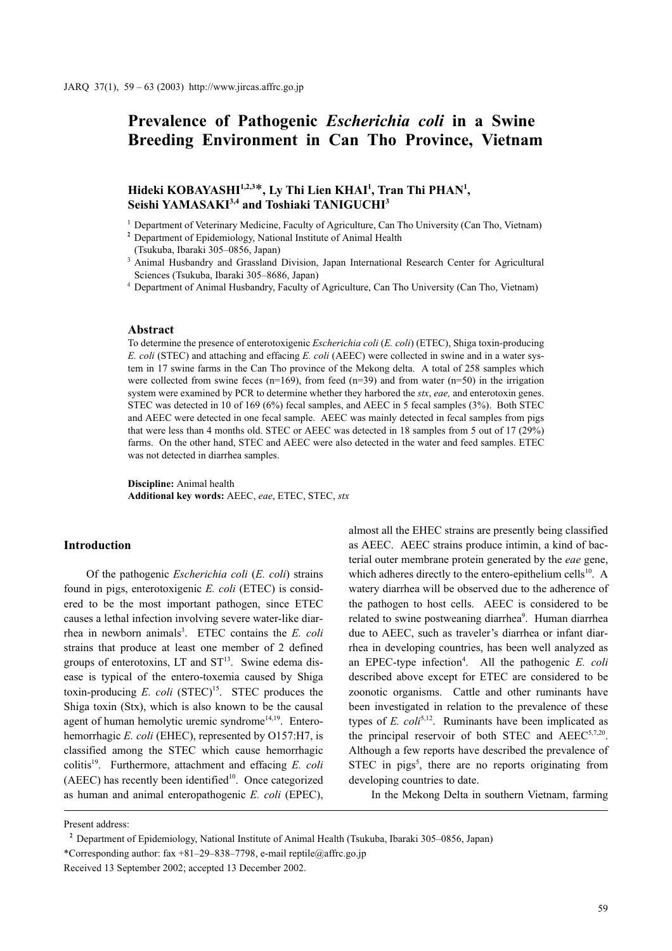# Prevalence of Pathogenic Escherichia coli in a Swine Breeding Environment in Can Tho Province, Vietnam

## Hideki KOBAYASHI $^{1,2,3*}$ . Ly Thi Lien KHAI<sup>1</sup>. Tran Thi PHAN<sup>1</sup>. Seishi YAMASAKI<sup>3,4</sup> and Toshiaki TANIGUCHI<sup>3</sup>

<sup>1</sup> Department of Veterinary Medicine, Faculty of Agriculture, Can Tho University (Can Tho, Vietnam)

<sup>2</sup> Department of Epidemiology, National Institute of Animal Health (Tsukuba, Ibaraki 305–0856, Japan)

<sup>3</sup> Animal Husbandry and Grassland Division, Japan International Research Center for Agricultural Sciences (Tsukuba, Ibaraki 305–8686, Japan)

Department of Animal Husbandry, Faculty of Agriculture, Can Tho University (Can Tho, Vietnam)

#### Abstract

To determine the presence of enterotoxigenic Escherichia coli (E. coli) (ETEC), Shiga toxin-producing E. coli (STEC) and attaching and effacing E. coli (AEEC) were collected in swine and in a water system in 17 swine farms in the Can Tho province of the Mekong delta. A total of 258 samples which were collected from swine feces  $(n=169)$ , from feed  $(n=39)$  and from water  $(n=50)$  in the irrigation system were examined by PCR to determine whether they harbored the stx, eae, and enterotoxin genes. STEC was detected in 10 of 169 (6%) fecal samples, and AEEC in 5 fecal samples (3%). Both STEC and AEEC were detected in one fecal sample. AEEC was mainly detected in fecal samples from pigs that were less than 4 months old. STEC or AEEC was detected in 18 samples from 5 out of 17 (29%) farms. On the other hand, STEC and AEEC were also detected in the water and feed samples. ETEC was not detected in diarrhea samples.

Discipline: Animal health Additional key words: AEEC, eae, ETEC, STEC, stx

#### Introduction

Of the pathogenic Escherichia coli (E. coli) strains found in pigs, enterotoxigenic E. coli (ETEC) is considered to be the most important pathogen, since ETEC causes a lethal infection involving severe water-like diarrhea in newborn animals<sup>3</sup>. ETEC contains the  $E$ . coli strains that produce at least one member of 2 defined groups of enterotoxins,  $LT$  and  $ST<sup>13</sup>$ . Swine edema disease is typical of the entero-toxemia caused by Shiga toxin-producing  $E$ . coli  $(STEC)^{15}$ . STEC produces the Shiga toxin (Stx), which is also known to be the causal agent of human hemolytic uremic syndrome<sup>14,19</sup>. Enterohemorrhagic E. coli (EHEC), represented by O157:H7, is classified among the STEC which cause hemorrhagic colitis<sup>19</sup>. Furthermore, attachment and effacing E. coli (AEEC) has recently been identified $10$ . Once categorized as human and animal enteropathogenic E. coli (EPEC), almost all the EHEC strains are presently being classified as AEEC. AEEC strains produce intimin, a kind of bacterial outer membrane protein generated by the eae gene, which adheres directly to the entero-epithelium cells<sup>10</sup>. A watery diarrhea will be observed due to the adherence of the pathogen to host cells. AEEC is considered to be related to swine postweaning diarrhea<sup>9</sup>. Human diarrhea due to AEEC, such as traveler's diarrhea or infant diarrhea in developing countries, has been well analyzed as an EPEC-type infection<sup>4</sup>. All the pathogenic E. coli described above except for ETEC are considered to be zoonotic organisms. Cattle and other ruminants have been investigated in relation to the prevalence of these types of E.  $\text{coli}^{5,12}$ . Ruminants have been implicated as the principal reservoir of both STEC and AEEC<sup>5,7,20</sup>. Although a few reports have described the prevalence of STEC in pigs<sup>5</sup>, there are no reports originating from developing countries to date.

In the Mekong Delta in southern Vietnam, farming

Present address:

Department of Epidemiology, National Institute of Animal Health (Tsukuba, Ibaraki 305–0856, Japan) \*Corresponding author: fax +81–29–838–7798, e-mail reptile@affrc.go.jp Received 13 September 2002; accepted 13 December 2002.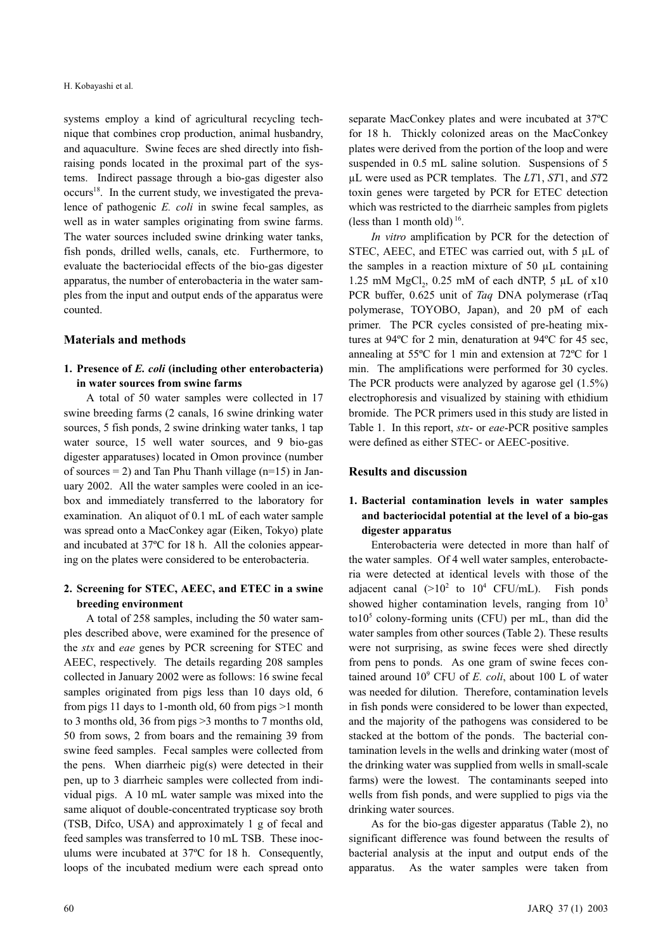systems employ a kind of agricultural recycling technique that combines crop production, animal husbandry, and aquaculture. Swine feces are shed directly into fishraising ponds located in the proximal part of the systems. Indirect passage through a bio-gas digester also  $occurs<sup>18</sup>$ . In the current study, we investigated the prevalence of pathogenic E. coli in swine fecal samples, as well as in water samples originating from swine farms. The water sources included swine drinking water tanks, fish ponds, drilled wells, canals, etc. Furthermore, to evaluate the bacteriocidal effects of the bio-gas digester apparatus, the number of enterobacteria in the water samples from the input and output ends of the apparatus were counted.

#### Materials and methods

#### 1. Presence of E. coli (including other enterobacteria) in water sources from swine farms

A total of 50 water samples were collected in 17 swine breeding farms (2 canals, 16 swine drinking water sources, 5 fish ponds, 2 swine drinking water tanks, 1 tap water source, 15 well water sources, and 9 bio-gas digester apparatuses) located in Omon province (number of sources  $= 2$ ) and Tan Phu Thanh village (n=15) in January 2002. All the water samples were cooled in an icebox and immediately transferred to the laboratory for examination. An aliquot of 0.1 mL of each water sample was spread onto a MacConkey agar (Eiken, Tokyo) plate and incubated at 37ºC for 18 h. All the colonies appearing on the plates were considered to be enterobacteria.

#### 2. Screening for STEC, AEEC, and ETEC in a swine breeding environment

A total of 258 samples, including the 50 water samples described above, were examined for the presence of the stx and eae genes by PCR screening for STEC and AEEC, respectively. The details regarding 208 samples collected in January 2002 were as follows: 16 swine fecal samples originated from pigs less than 10 days old, 6 from pigs 11 days to 1-month old, 60 from pigs >1 month to 3 months old, 36 from pigs >3 months to 7 months old, 50 from sows, 2 from boars and the remaining 39 from swine feed samples. Fecal samples were collected from the pens. When diarrheic pig(s) were detected in their pen, up to 3 diarrheic samples were collected from individual pigs. A 10 mL water sample was mixed into the same aliquot of double-concentrated trypticase soy broth (TSB, Difco, USA) and approximately 1 g of fecal and feed samples was transferred to 10 mL TSB. These inoculums were incubated at 37ºC for 18 h. Consequently, loops of the incubated medium were each spread onto separate MacConkey plates and were incubated at 37ºC for 18 h. Thickly colonized areas on the MacConkey plates were derived from the portion of the loop and were suspended in 0.5 mL saline solution. Suspensions of 5  $\mu$ L were used as PCR templates. The LT1, ST1, and ST2 toxin genes were targeted by PCR for ETEC detection which was restricted to the diarrheic samples from piglets (less than 1 month old)<sup>16</sup>.

In vitro amplification by PCR for the detection of STEC, AEEC, and ETEC was carried out, with 5 µL of the samples in a reaction mixture of 50 µL containing 1.25 mM MgCl<sub>2</sub>, 0.25 mM of each dNTP, 5  $\mu$ L of x10 PCR buffer, 0.625 unit of Taq DNA polymerase (rTaq polymerase, TOYOBO, Japan), and 20 pM of each primer. The PCR cycles consisted of pre-heating mixtures at 94ºC for 2 min, denaturation at 94ºC for 45 sec, annealing at 55ºC for 1 min and extension at 72ºC for 1 min. The amplifications were performed for 30 cycles. The PCR products were analyzed by agarose gel (1.5%) electrophoresis and visualized by staining with ethidium bromide. The PCR primers used in this study are listed in Table 1. In this report, *stx*- or *eae*-PCR positive samples were defined as either STEC- or AEEC-positive.

#### Results and discussion

### 1. Bacterial contamination levels in water samples and bacteriocidal potential at the level of a bio-gas digester apparatus

Enterobacteria were detected in more than half of the water samples. Of 4 well water samples, enterobacteria were detected at identical levels with those of the adjacent canal  $(>10^2$  to  $10^4$  CFU/mL). Fish ponds showed higher contamination levels, ranging from  $10<sup>3</sup>$ to10<sup>5</sup> colony-forming units (CFU) per mL, than did the water samples from other sources (Table 2). These results were not surprising, as swine feces were shed directly from pens to ponds. As one gram of swine feces contained around  $10^9$  CFU of *E. coli*, about 100 L of water was needed for dilution. Therefore, contamination levels in fish ponds were considered to be lower than expected, and the majority of the pathogens was considered to be stacked at the bottom of the ponds. The bacterial contamination levels in the wells and drinking water (most of the drinking water was supplied from wells in small-scale farms) were the lowest. The contaminants seeped into wells from fish ponds, and were supplied to pigs via the drinking water sources.

As for the bio-gas digester apparatus (Table 2), no significant difference was found between the results of bacterial analysis at the input and output ends of the apparatus. As the water samples were taken from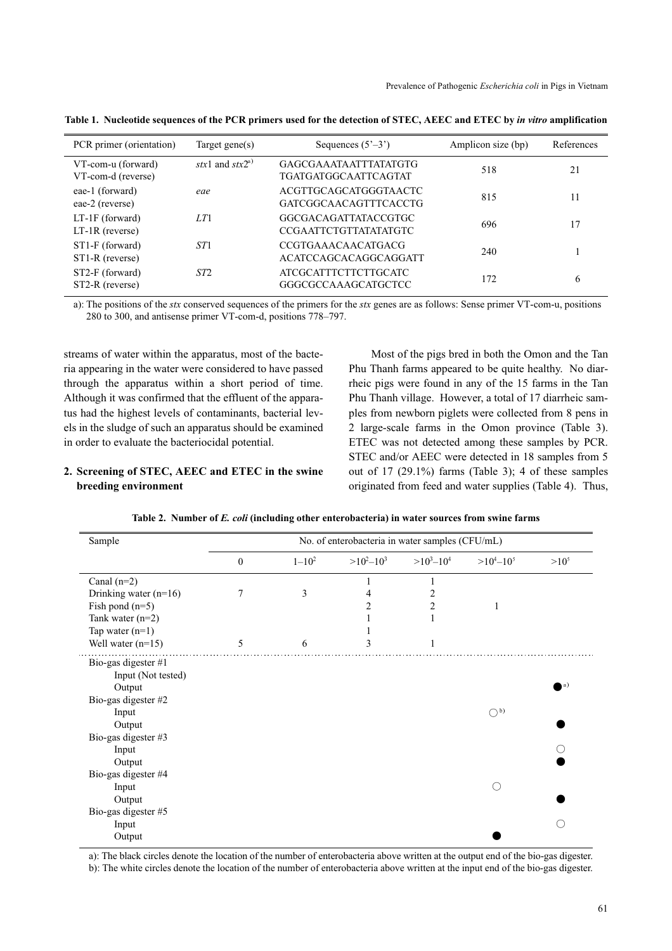| PCR primer (orientation)                 | Target gene $(s)$           | Sequences $(5^{\prime}-3^{\prime})$                    | Amplicon size (bp) | References |
|------------------------------------------|-----------------------------|--------------------------------------------------------|--------------------|------------|
| VT-com-u (forward)<br>VT-com-d (reverse) | stx1 and stx2 <sup>a)</sup> | <b>GAGCGAAATAATTTATATGTG</b><br>TGATGATGGCA ATTCA GTAT | 518                | 21         |
| eae-1 (forward)<br>eae-2 (reverse)       | eae                         | ACGTTGCAGCATGGGTAACTC<br>GATCGGCAACAGTTTCACCTG         | 815                | 11         |
| $LT-1F$ (forward)<br>$LT-1R$ (reverse)   | LT1                         | GGCGACAGATTATACCGTGC<br><b>CCGAATTCTGTTATATATGTC</b>   | 696                | 17         |
| ST1-F (forward)<br>ST1-R (reverse)       | ST <sub>1</sub>             | <b>CCGTGAAACAACATGACG</b><br>ACATCCAGCACAGGCAGGATT     | 240                |            |
| ST2-F (forward)<br>ST2-R (reverse)       | ST <sub>2</sub>             | <b>ATCGCATTTCTTCTTGCATC</b><br>GGGCGCCAAAGCATGCTCC     | 172                | 6          |

Table 1. Nucleotide sequences of the PCR primers used for the detection of STEC, AEEC and ETEC by in vitro amplification

a): The positions of the stx conserved sequences of the primers for the stx genes are as follows: Sense primer VT-com-u, positions 280 to 300, and antisense primer VT-com-d, positions 778–797.

streams of water within the apparatus, most of the bacteria appearing in the water were considered to have passed through the apparatus within a short period of time. Although it was confirmed that the effluent of the apparatus had the highest levels of contaminants, bacterial levels in the sludge of such an apparatus should be examined in order to evaluate the bacteriocidal potential.

### 2. Screening of STEC, AEEC and ETEC in the swine breeding environment

Most of the pigs bred in both the Omon and the Tan Phu Thanh farms appeared to be quite healthy. No diarrheic pigs were found in any of the 15 farms in the Tan Phu Thanh village. However, a total of 17 diarrheic samples from newborn piglets were collected from 8 pens in 2 large-scale farms in the Omon province (Table 3). ETEC was not detected among these samples by PCR. STEC and/or AEEC were detected in 18 samples from 5 out of 17 (29.1%) farms (Table 3); 4 of these samples originated from feed and water supplies (Table 4). Thus,

|  |  | Table 2. Number of E. coli (including other enterobacteria) in water sources from swine farms |  |  |  |
|--|--|-----------------------------------------------------------------------------------------------|--|--|--|
|--|--|-----------------------------------------------------------------------------------------------|--|--|--|

| Sample                  | No. of enterobacteria in water samples (CFU/mL) |            |                |                |                |           |
|-------------------------|-------------------------------------------------|------------|----------------|----------------|----------------|-----------|
|                         | $\mathbf{0}$                                    | $1 - 10^2$ | $>10^2 - 10^3$ | $>10^3 - 10^4$ | $>10^4 - 10^5$ | $>10^{5}$ |
| Canal $(n=2)$           |                                                 |            |                |                |                |           |
| Drinking water $(n=16)$ |                                                 | 3          | 4              |                |                |           |
| Fish pond $(n=5)$       |                                                 |            | 2              | 2              | 1              |           |
| Tank water $(n=2)$      |                                                 |            |                |                |                |           |
| Tap water $(n=1)$       |                                                 |            |                |                |                |           |
| Well water $(n=15)$     | 5                                               | 6          | 3              | 1              |                |           |
| Bio-gas digester #1     |                                                 |            |                |                |                |           |
| Input (Not tested)      |                                                 |            |                |                |                |           |
| Output                  |                                                 |            |                |                |                | (a)       |
| Bio-gas digester #2     |                                                 |            |                |                |                |           |
| Input                   |                                                 |            |                |                | $\bigcirc$ b)  |           |
| Output                  |                                                 |            |                |                |                |           |
| Bio-gas digester #3     |                                                 |            |                |                |                |           |
| Input                   |                                                 |            |                |                |                |           |
| Output                  |                                                 |            |                |                |                |           |
| Bio-gas digester #4     |                                                 |            |                |                |                |           |
| Input                   |                                                 |            |                |                |                |           |
| Output                  |                                                 |            |                |                |                |           |
| Bio-gas digester #5     |                                                 |            |                |                |                |           |
| Input                   |                                                 |            |                |                |                |           |
| Output                  |                                                 |            |                |                |                |           |

a): The black circles denote the location of the number of enterobacteria above written at the output end of the bio-gas digester. b): The white circles denote the location of the number of enterobacteria above written at the input end of the bio-gas digester.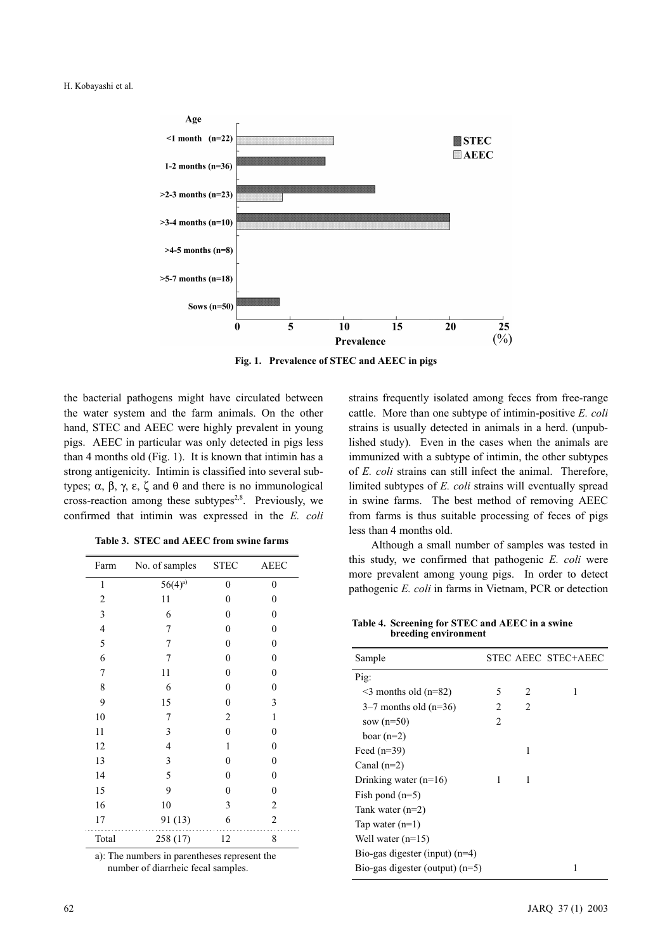

Fig. 1. Prevalence of STEC and AEEC in pigs

the bacterial pathogens might have circulated between the water system and the farm animals. On the other hand, STEC and AEEC were highly prevalent in young pigs. AEEC in particular was only detected in pigs less than 4 months old (Fig. 1). It is known that intimin has a strong antigenicity. Intimin is classified into several subtypes; α, β, γ, ε, ζ and θ and there is no immunological cross-reaction among these subtypes<sup>2,8</sup>. Previously, we confirmed that intimin was expressed in the E. coli

| Farm                     | No. of samples STEC |                  | <b>AEEC</b>      |
|--------------------------|---------------------|------------------|------------------|
| 1                        | $56(4)^{a}$         | $\boldsymbol{0}$ | 0                |
| $\overline{\mathbf{c}}$  | 11                  | $\overline{0}$   | $\boldsymbol{0}$ |
| 3                        | 6                   | $\overline{0}$   | $\mathbf{0}$     |
| $\overline{\mathcal{L}}$ | 7                   | $\overline{0}$   | $\boldsymbol{0}$ |
| 5                        | 7                   | $\overline{0}$   | $\boldsymbol{0}$ |
| 6                        | 7                   | $\mathbf{0}$     | $\boldsymbol{0}$ |
| 7                        | 11                  | $\overline{0}$   | $\mathbf{0}$     |
| 8                        | 6                   | $\mathbf{0}$     | $\mathbf{0}$     |
| 9                        | 15                  | $\boldsymbol{0}$ | 3                |
| 10                       | 7                   | $\overline{2}$   | $\mathbf{1}$     |
| 11                       | 3                   | $\mathbf{0}$     | $\mathbf{0}$     |
| 12                       | $\overline{4}$      | $\mathbf{1}$     | $\mathbf{0}$     |
| 13                       | 3                   | $\overline{0}$   | $\mathbf{0}$     |
| 14                       | 5                   | $\overline{0}$   | $\boldsymbol{0}$ |
| 15                       | 9                   | $\overline{0}$   | $\boldsymbol{0}$ |
| 16                       | 10                  | 3                | $\overline{c}$   |
| 17                       | 91 (13)             | 6                | $\overline{c}$   |
| Total                    | 258 (17)            | 12               | 8                |

a): The numbers in parentheses represent the number of diarrheic fecal samples.

strains frequently isolated among feces from free-range cattle. More than one subtype of intimin-positive E. coli strains is usually detected in animals in a herd. (unpublished study). Even in the cases when the animals are immunized with a subtype of intimin, the other subtypes of E. coli strains can still infect the animal. Therefore, limited subtypes of E. coli strains will eventually spread in swine farms. The best method of removing AEEC from farms is thus suitable processing of feces of pigs less than 4 months old.

Although a small number of samples was tested in this study, we confirmed that pathogenic E. coli were more prevalent among young pigs. In order to detect pathogenic E. coli in farms in Vietnam, PCR or detection

Table 4. Screening for STEC and AEEC in a swine breeding environment

| Sample                            |                |                | STEC AEEC STEC+AEEC |
|-----------------------------------|----------------|----------------|---------------------|
| Pig:                              |                |                |                     |
| $\leq$ 3 months old (n=82)        | 5              | $\mathfrak{D}$ | 1                   |
| $3-7$ months old (n=36)           | 2              | 2              |                     |
| sow $(n=50)$                      | $\mathfrak{D}$ |                |                     |
| boar $(n=2)$                      |                |                |                     |
| Feed $(n=39)$                     |                | 1              |                     |
| Canal $(n=2)$                     |                |                |                     |
| Drinking water $(n=16)$           | 1              | 1              |                     |
| Fish pond $(n=5)$                 |                |                |                     |
| Tank water $(n=2)$                |                |                |                     |
| Tap water $(n=1)$                 |                |                |                     |
| Well water $(n=15)$               |                |                |                     |
| Bio-gas digester (input) $(n=4)$  |                |                |                     |
| Bio-gas digester (output) $(n=5)$ |                |                | 1                   |